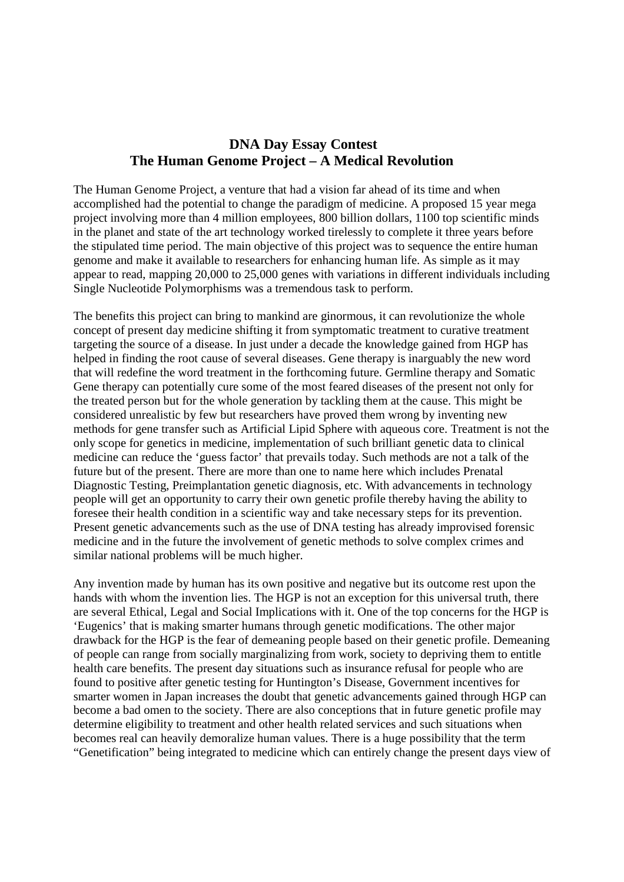## **DNA Day Essay Contest The Human Genome Project – A Medical Revolution**

The Human Genome Project, a venture that had a vision far ahead of its time and when accomplished had the potential to change the paradigm of medicine. A proposed 15 year mega project involving more than 4 million employees, 800 billion dollars, 1100 top scientific minds in the planet and state of the art technology worked tirelessly to complete it three years before the stipulated time period. The main objective of this project was to sequence the entire human genome and make it available to researchers for enhancing human life. As simple as it may appear to read, mapping 20,000 to 25,000 genes with variations in different individuals including Single Nucleotide Polymorphisms was a tremendous task to perform.

The benefits this project can bring to mankind are ginormous, it can revolutionize the whole concept of present day medicine shifting it from symptomatic treatment to curative treatment targeting the source of a disease. In just under a decade the knowledge gained from HGP has helped in finding the root cause of several diseases. Gene therapy is inarguably the new word that will redefine the word treatment in the forthcoming future. Germline therapy and Somatic Gene therapy can potentially cure some of the most feared diseases of the present not only for the treated person but for the whole generation by tackling them at the cause. This might be considered unrealistic by few but researchers have proved them wrong by inventing new methods for gene transfer such as Artificial Lipid Sphere with aqueous core. Treatment is not the only scope for genetics in medicine, implementation of such brilliant genetic data to clinical medicine can reduce the 'guess factor' that prevails today. Such methods are not a talk of the future but of the present. There are more than one to name here which includes Prenatal Diagnostic Testing, Preimplantation genetic diagnosis, etc. With advancements in technology people will get an opportunity to carry their own genetic profile thereby having the ability to foresee their health condition in a scientific way and take necessary steps for its prevention. Present genetic advancements such as the use of DNA testing has already improvised forensic medicine and in the future the involvement of genetic methods to solve complex crimes and similar national problems will be much higher.

Any invention made by human has its own positive and negative but its outcome rest upon the hands with whom the invention lies. The HGP is not an exception for this universal truth, there are several Ethical, Legal and Social Implications with it. One of the top concerns for the HGP is 'Eugenics' that is making smarter humans through genetic modifications. The other major drawback for the HGP is the fear of demeaning people based on their genetic profile. Demeaning of people can range from socially marginalizing from work, society to depriving them to entitle health care benefits. The present day situations such as insurance refusal for people who are found to positive after genetic testing for Huntington's Disease, Government incentives for smarter women in Japan increases the doubt that genetic advancements gained through HGP can become a bad omen to the society. There are also conceptions that in future genetic profile may determine eligibility to treatment and other health related services and such situations when becomes real can heavily demoralize human values. There is a huge possibility that the term "Genetification" being integrated to medicine which can entirely change the present days view of